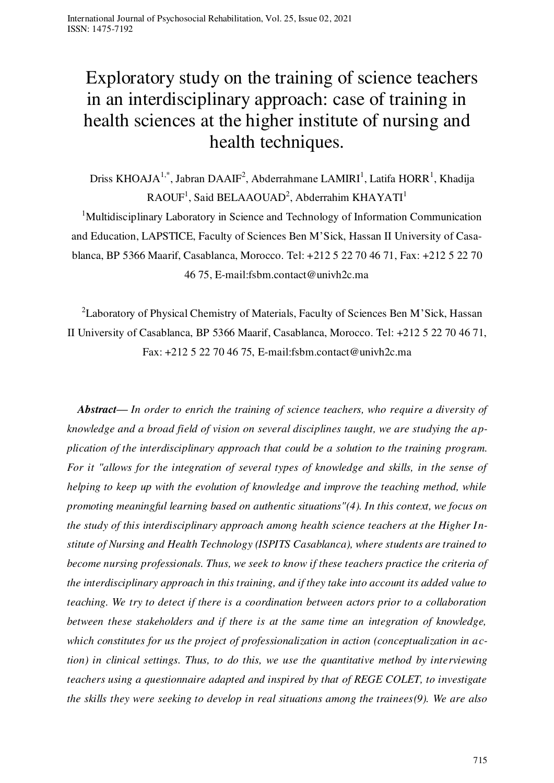# Exploratory study on the training of science teachers in an interdisciplinary approach: case of training in health sciences at the higher institute of nursing and health techniques.

Driss KHOAJA<sup>1,\*</sup>, Jabran DAAIF<sup>2</sup>, Abderrahmane LAMIRI<sup>1</sup>, Latifa HORR<sup>1</sup>, Khadija  $RAOUF<sup>1</sup>$ , Said BELAAOUAD<sup>2</sup>, Abderrahim KHAYATI<sup>1</sup> <sup>1</sup>Multidisciplinary Laboratory in Science and Technology of Information Communication and Education, LAPSTICE, Faculty of Sciences Ben M'Sick, Hassan II University of Casablanca, BP 5366 Maarif, Casablanca, Morocco. Tel: +212 5 22 70 46 71, Fax: +212 5 22 70 46 75, E-mail[:fsbm.contact@univh2c.ma](http://www.fsb.univh2c.ma/) 

<sup>2</sup>Laboratory of Physical Chemistry of Materials, Faculty of Sciences Ben M'Sick, Hassan II University of Casablanca, BP 5366 Maarif, Casablanca, Morocco. Tel: +212 5 22 70 46 71, Fax: +212 5 22 70 46 75, E-mail[:fsbm.contact@univh2c.ma](http://www.fsb.univh2c.ma/) 

*Abstract— In order to enrich the training of science teachers, who require a diversity of knowledge and a broad field of vision on several disciplines taught, we are studying the application of the interdisciplinary approach that could be a solution to the training program. For it "allows for the integration of several types of knowledge and skills, in the sense of helping to keep up with the evolution of knowledge and improve the teaching method, while promoting meaningful learning based on authentic situations"(4). In this context, we focus on the study of this interdisciplinary approach among health science teachers at the Higher Institute of Nursing and Health Technology (ISPITS Casablanca), where students are trained to become nursing professionals. Thus, we seek to know if these teachers practice the criteria of the interdisciplinary approach in this training, and if they take into account its added value to teaching. We try to detect if there is a coordination between actors prior to a collaboration between these stakeholders and if there is at the same time an integration of knowledge, which constitutes for us the project of professionalization in action (conceptualization in action) in clinical settings. Thus, to do this, we use the quantitative method by interviewing teachers using a questionnaire adapted and inspired by that of REGE COLET, to investigate the skills they were seeking to develop in real situations among the trainees(9). We are also*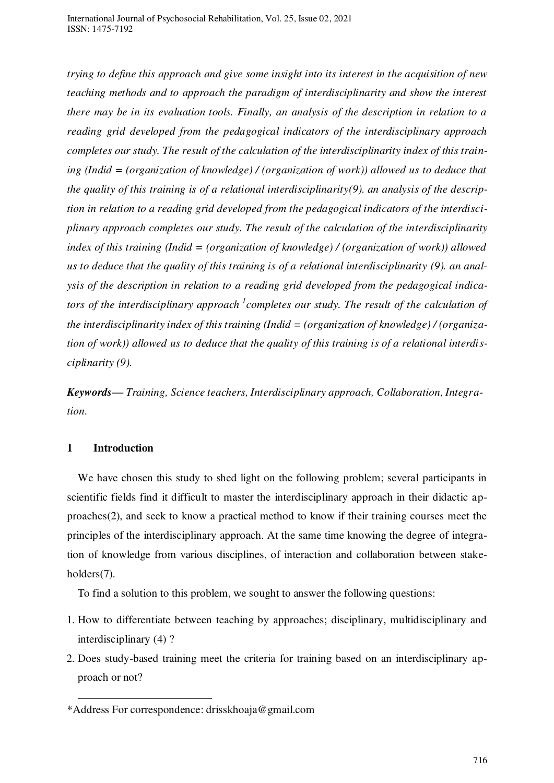*trying to define this approach and give some insight into its interest in the acquisition of new teaching methods and to approach the paradigm of interdisciplinarity and show the interest there may be in its evaluation tools. Finally, an analysis of the description in relation to a reading grid developed from the pedagogical indicators of the interdisciplinary approach completes our study. The result of the calculation of the interdisciplinarity index of this training (Indid = (organization of knowledge) / (organization of work)) allowed us to deduce that the quality of this training is of a relational interdisciplinarity(9). an analysis of the description in relation to a reading grid developed from the pedagogical indicators of the interdisciplinary approach completes our study. The result of the calculation of the interdisciplinarity index of this training (Indid = (organization of knowledge) / (organization of work)) allowed us to deduce that the quality of this training is of a relational interdisciplinarity (9). an analysis of the description in relation to a reading grid developed from the pedagogical indica*tors of the interdisciplinary approach <sup>1</sup> completes our study. The result of the calculation of *the interdisciplinarity index of this training (Indid = (organization of knowledge) / (organization of work)) allowed us to deduce that the quality of this training is of a relational interdisciplinarity (9).* 

*Keywords— Training, Science teachers, Interdisciplinary approach, Collaboration, Integration.* 

# **1 Introduction**

-

We have chosen this study to shed light on the following problem; several participants in scientific fields find it difficult to master the interdisciplinary approach in their didactic approaches(2), and seek to know a practical method to know if their training courses meet the principles of the interdisciplinary approach. At the same time knowing the degree of integration of knowledge from various disciplines, of interaction and collaboration between stakeholders<sup>(7)</sup>.

To find a solution to this problem, we sought to answer the following questions:

- 1. How to differentiate between teaching by approaches; disciplinary, multidisciplinary and interdisciplinary (4) ?
- 2. Does study-based training meet the criteria for training based on an interdisciplinary approach or not?

<sup>\*</sup>Address For correspondence: drisskhoaja@gmail.com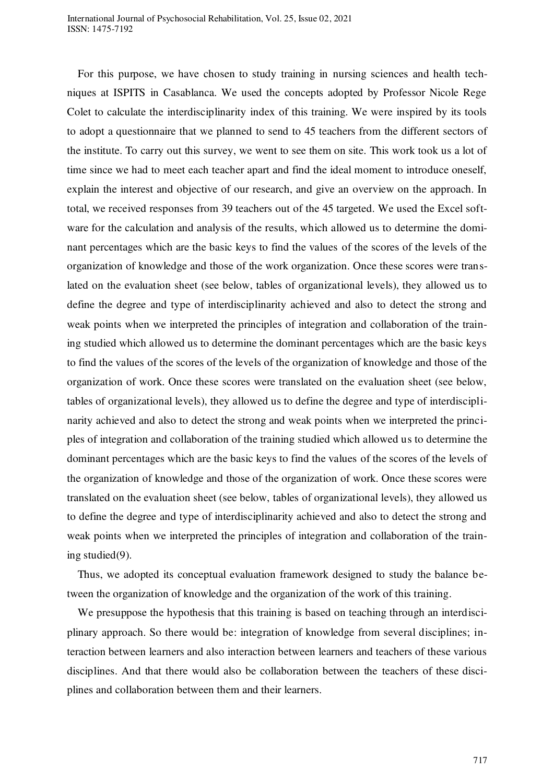International Journal of Psychosocial Rehabilitation, Vol. 25, Issue 02, 2021 ISSN: 1475-7192

For this purpose, we have chosen to study training in nursing sciences and health techniques at ISPITS in Casablanca. We used the concepts adopted by Professor Nicole Rege Colet to calculate the interdisciplinarity index of this training. We were inspired by its tools to adopt a questionnaire that we planned to send to 45 teachers from the different sectors of the institute. To carry out this survey, we went to see them on site. This work took us a lot of time since we had to meet each teacher apart and find the ideal moment to introduce oneself, explain the interest and objective of our research, and give an overview on the approach. In total, we received responses from 39 teachers out of the 45 targeted. We used the Excel software for the calculation and analysis of the results, which allowed us to determine the dominant percentages which are the basic keys to find the values of the scores of the levels of the organization of knowledge and those of the work organization. Once these scores were translated on the evaluation sheet (see below, tables of organizational levels), they allowed us to define the degree and type of interdisciplinarity achieved and also to detect the strong and weak points when we interpreted the principles of integration and collaboration of the training studied which allowed us to determine the dominant percentages which are the basic keys to find the values of the scores of the levels of the organization of knowledge and those of the organization of work. Once these scores were translated on the evaluation sheet (see below, tables of organizational levels), they allowed us to define the degree and type of interdisciplinarity achieved and also to detect the strong and weak points when we interpreted the principles of integration and collaboration of the training studied which allowed us to determine the dominant percentages which are the basic keys to find the values of the scores of the levels of the organization of knowledge and those of the organization of work. Once these scores were translated on the evaluation sheet (see below, tables of organizational levels), they allowed us to define the degree and type of interdisciplinarity achieved and also to detect the strong and weak points when we interpreted the principles of integration and collaboration of the training studied(9).

Thus, we adopted its conceptual evaluation framework designed to study the balance between the organization of knowledge and the organization of the work of this training.

We presuppose the hypothesis that this training is based on teaching through an interdisciplinary approach. So there would be: integration of knowledge from several disciplines; interaction between learners and also interaction between learners and teachers of these various disciplines. And that there would also be collaboration between the teachers of these disciplines and collaboration between them and their learners.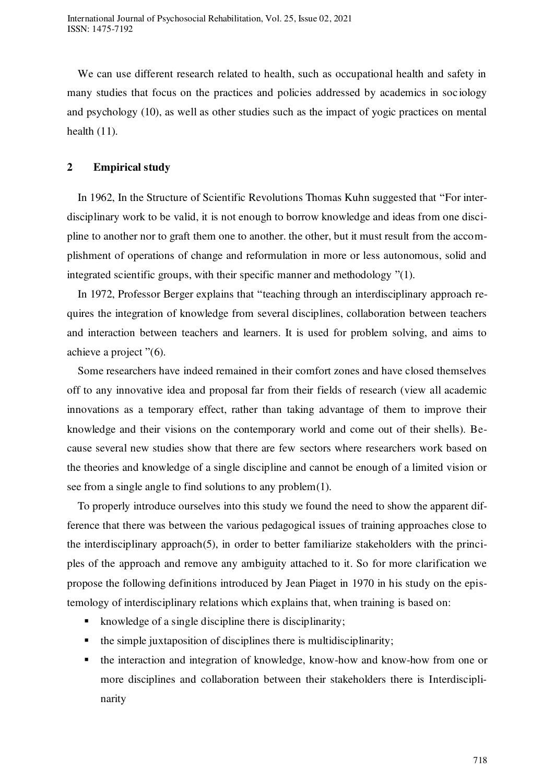We can use different research related to health, such as occupational health and safety in many studies that focus on the practices and policies addressed by academics in sociology and psychology (10), as well as other studies such as the impact of yogic practices on mental health (11).

## **2 Empirical study**

In 1962, In the Structure of Scientific Revolutions Thomas Kuhn suggested that "For interdisciplinary work to be valid, it is not enough to borrow knowledge and ideas from one discipline to another nor to graft them one to another. the other, but it must result from the accomplishment of operations of change and reformulation in more or less autonomous, solid and integrated scientific groups, with their specific manner and methodology "(1).

In 1972, Professor Berger explains that "teaching through an interdisciplinary approach requires the integration of knowledge from several disciplines, collaboration between teachers and interaction between teachers and learners. It is used for problem solving, and aims to achieve a project "(6).

Some researchers have indeed remained in their comfort zones and have closed themselves off to any innovative idea and proposal far from their fields of research (view all academic innovations as a temporary effect, rather than taking advantage of them to improve their knowledge and their visions on the contemporary world and come out of their shells). Because several new studies show that there are few sectors where researchers work based on the theories and knowledge of a single discipline and cannot be enough of a limited vision or see from a single angle to find solutions to any problem(1).

To properly introduce ourselves into this study we found the need to show the apparent difference that there was between the various pedagogical issues of training approaches close to the interdisciplinary approach(5), in order to better familiarize stakeholders with the principles of the approach and remove any ambiguity attached to it. So for more clarification we propose the following definitions introduced by Jean Piaget in 1970 in his study on the epistemology of interdisciplinary relations which explains that, when training is based on:

- $\blacksquare$  knowledge of a single discipline there is disciplinarity;
- $\blacksquare$  the simple juxtaposition of disciplines there is multidisciplinarity;
- the interaction and integration of knowledge, know-how and know-how from one or more disciplines and collaboration between their stakeholders there is Interdisciplinarity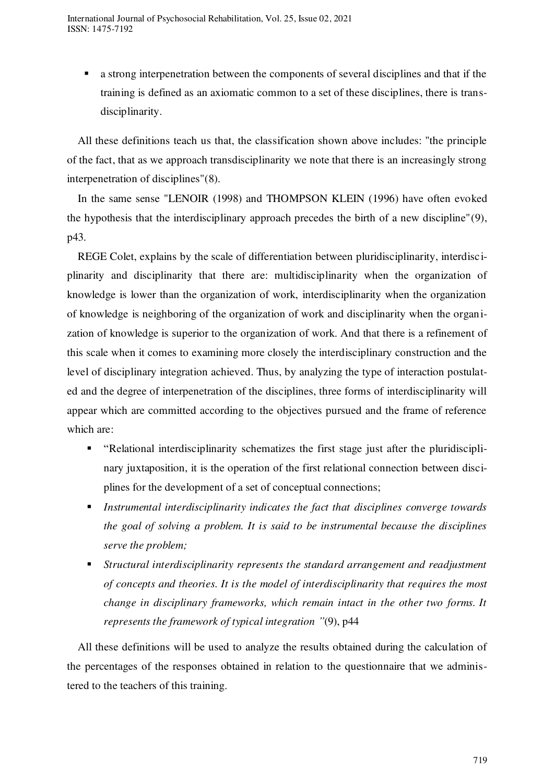a strong interpenetration between the components of several disciplines and that if the training is defined as an axiomatic common to a set of these disciplines, there is transdisciplinarity.

All these definitions teach us that, the classification shown above includes: "the principle of the fact, that as we approach transdisciplinarity we note that there is an increasingly strong interpenetration of disciplines"(8).

In the same sense "LENOIR (1998) and THOMPSON KLEIN (1996) have often evoked the hypothesis that the interdisciplinary approach precedes the birth of a new discipline"(9), p43.

REGE Colet, explains by the scale of differentiation between pluridisciplinarity, interdisciplinarity and disciplinarity that there are: multidisciplinarity when the organization of knowledge is lower than the organization of work, interdisciplinarity when the organization of knowledge is neighboring of the organization of work and disciplinarity when the organization of knowledge is superior to the organization of work. And that there is a refinement of this scale when it comes to examining more closely the interdisciplinary construction and the level of disciplinary integration achieved. Thus, by analyzing the type of interaction postulated and the degree of interpenetration of the disciplines, three forms of interdisciplinarity will appear which are committed according to the objectives pursued and the frame of reference which are:

- "Relational interdisciplinarity schematizes the first stage just after the pluridisciplinary juxtaposition, it is the operation of the first relational connection between disciplines for the development of a set of conceptual connections;
- *Instrumental interdisciplinarity indicates the fact that disciplines converge towards the goal of solving a problem. It is said to be instrumental because the disciplines serve the problem;*
- *Structural interdisciplinarity represents the standard arrangement and readjustment of concepts and theories. It is the model of interdisciplinarity that requires the most change in disciplinary frameworks, which remain intact in the other two forms. It represents the framework of typical integration "*(9), p44

All these definitions will be used to analyze the results obtained during the calculation of the percentages of the responses obtained in relation to the questionnaire that we administered to the teachers of this training.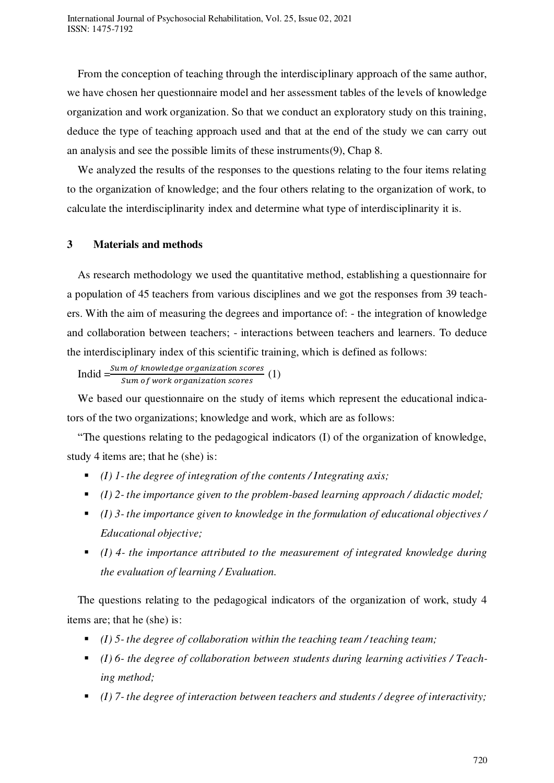From the conception of teaching through the interdisciplinary approach of the same author, we have chosen her questionnaire model and her assessment tables of the levels of knowledge organization and work organization. So that we conduct an exploratory study on this training, deduce the type of teaching approach used and that at the end of the study we can carry out an analysis and see the possible limits of these instruments(9), Chap 8.

We analyzed the results of the responses to the questions relating to the four items relating to the organization of knowledge; and the four others relating to the organization of work, to calculate the interdisciplinarity index and determine what type of interdisciplinarity it is.

# **3 Materials and methods**

As research methodology we used the quantitative method, establishing a questionnaire for a population of 45 teachers from various disciplines and we got the responses from 39 teachers. With the aim of measuring the degrees and importance of: - the integration of knowledge and collaboration between teachers; - interactions between teachers and learners. To deduce the interdisciplinary index of this scientific training, which is defined as follows:

Indid  $=\frac{sum\space of \space knowledge \space organization \space scores}{sum\space of \space work \space organisation \space scores}$  (1)

We based our questionnaire on the study of items which represent the educational indicators of the two organizations; knowledge and work, which are as follows:

"The questions relating to the pedagogical indicators (I) of the organization of knowledge, study 4 items are; that he (she) is:

- *(I) 1- the degree of integration of the contents / Integrating axis;*
- *(I) 2- the importance given to the problem-based learning approach / didactic model;*
- *(I) 3- the importance given to knowledge in the formulation of educational objectives / Educational objective;*
- *(I) 4- the importance attributed to the measurement of integrated knowledge during the evaluation of learning / Evaluation.*

The questions relating to the pedagogical indicators of the organization of work, study 4 items are; that he (she) is:

- *(I) 5- the degree of collaboration within the teaching team / teaching team;*
- *(I) 6- the degree of collaboration between students during learning activities / Teaching method;*
- *(I) 7- the degree of interaction between teachers and students / degree of interactivity;*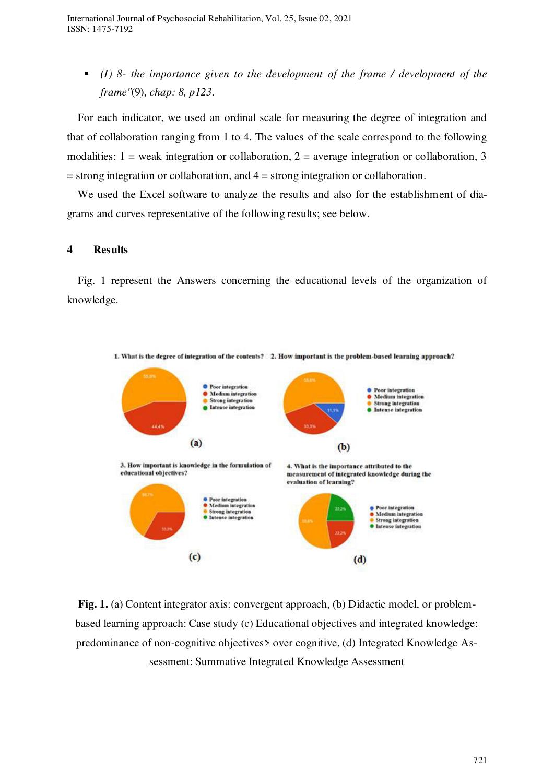*(I) 8- the importance given to the development of the frame / development of the frame"*(9), *chap: 8, p123.* 

For each indicator, we used an ordinal scale for measuring the degree of integration and that of collaboration ranging from 1 to 4. The values of the scale correspond to the following modalities:  $1 =$  weak integration or collaboration,  $2 =$  average integration or collaboration, 3 = strong integration or collaboration, and 4 = strong integration or collaboration.

We used the Excel software to analyze the results and also for the establishment of diagrams and curves representative of the following results; see below.

# **4 Results**

Fig. 1 represent the Answers concerning the educational levels of the organization of knowledge.



**Fig. 1.** (a) Content integrator axis: convergent approach, (b) Didactic model, or problembased learning approach: Case study (c) Educational objectives and integrated knowledge: predominance of non-cognitive objectives> over cognitive, (d) Integrated Knowledge Assessment: Summative Integrated Knowledge Assessment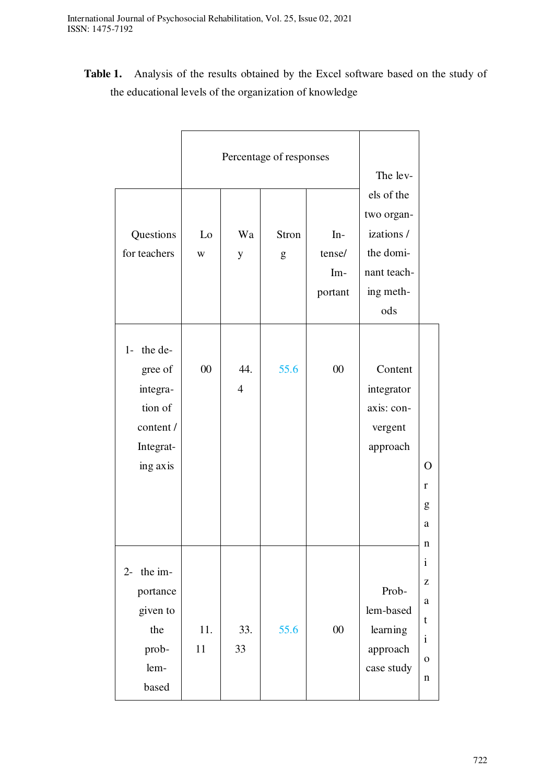**Table 1.** Analysis of the results obtained by the Excel software based on the study of the educational levels of the organization of knowledge

|                                                                                     |           | Percentage of responses | The lev-   |                                   |                                                                                        |                                                                                 |
|-------------------------------------------------------------------------------------|-----------|-------------------------|------------|-----------------------------------|----------------------------------------------------------------------------------------|---------------------------------------------------------------------------------|
| Questions<br>for teachers                                                           | Lo<br>W   | Wa<br>$\mathbf y$       | Stron<br>g | $In-$<br>tense/<br>Im-<br>portant | els of the<br>two organ-<br>izations /<br>the domi-<br>nant teach-<br>ing meth-<br>ods |                                                                                 |
| $1-$ the de-<br>gree of<br>integra-<br>tion of<br>content/<br>Integrat-<br>ing axis | $00\,$    | 44.<br>$\overline{4}$   | 55.6       | $00\,$                            | Content<br>integrator<br>axis: con-<br>vergent<br>approach                             | $\Omega$<br>r<br>g<br>a                                                         |
| the im-<br>$2 -$<br>portance<br>given to<br>the<br>prob-<br>lem-<br>based           | 11.<br>11 | 33.<br>33               | 55.6       | $00\,$                            | Prob-<br>lem-based<br>learning<br>approach<br>case study                               | n<br>$\mathbf{i}$<br>z<br>a<br>$\mathbf t$<br>$\mathbf{i}$<br>$\mathbf{O}$<br>n |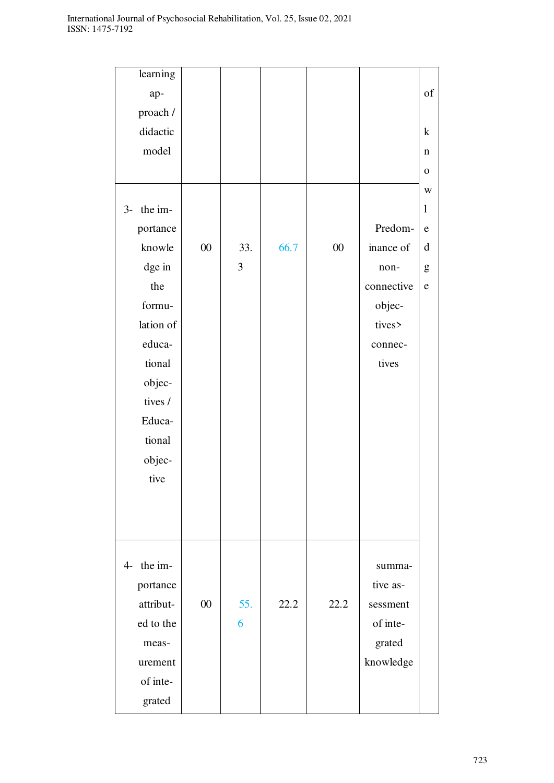| learning        |        |     |      |        |            |              |
|-----------------|--------|-----|------|--------|------------|--------------|
| ap-             |        |     |      |        |            | of           |
| proach /        |        |     |      |        |            |              |
| didactic        |        |     |      |        |            | $\bf k$      |
| model           |        |     |      |        |            | n            |
|                 |        |     |      |        |            | $\mathbf O$  |
|                 |        |     |      |        |            | $\mathbf W$  |
| the im-<br>$3-$ |        |     |      |        |            | $\mathbf{1}$ |
| portance        |        |     |      |        | Predom-    | ${\bf e}$    |
| knowle          | $00\,$ | 33. | 66.7 | $00\,$ | inance of  | d            |
| dge in          |        | 3   |      |        | non-       | g            |
| the             |        |     |      |        | connective | ${\bf e}$    |
| formu-          |        |     |      |        | objec-     |              |
| lation of       |        |     |      |        | tives>     |              |
| educa-          |        |     |      |        | connec-    |              |
| tional          |        |     |      |        | tives      |              |
| objec-          |        |     |      |        |            |              |
| tives /         |        |     |      |        |            |              |
| Educa-          |        |     |      |        |            |              |
| tional          |        |     |      |        |            |              |
| objec-          |        |     |      |        |            |              |
| tive            |        |     |      |        |            |              |
|                 |        |     |      |        |            |              |
|                 |        |     |      |        |            |              |
|                 |        |     |      |        |            |              |
|                 |        |     |      |        |            |              |
| 4- the im-      |        |     |      |        | summa-     |              |
| portance        |        |     |      |        | tive as-   |              |
| attribut-       | 00     | 55. | 22.2 | 22.2   | sessment   |              |
| ed to the       |        | 6   |      |        | of inte-   |              |
| meas-           |        |     |      |        | grated     |              |
| urement         |        |     |      |        | knowledge  |              |
| of inte-        |        |     |      |        |            |              |
| grated          |        |     |      |        |            |              |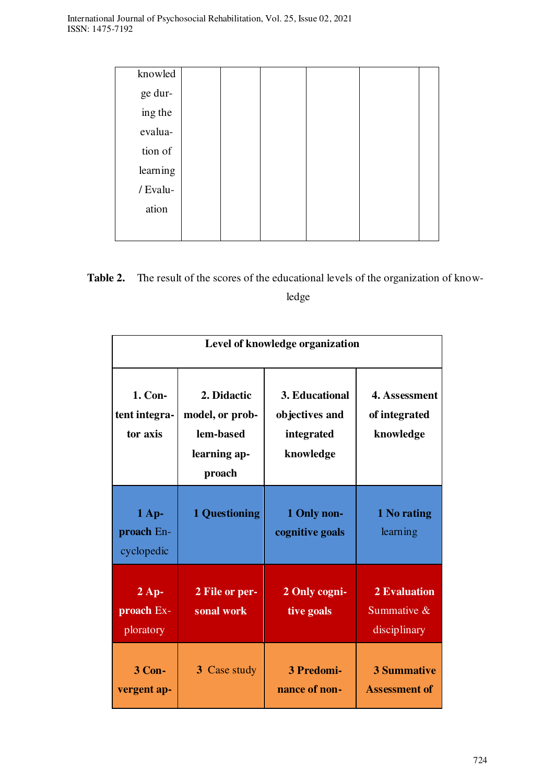| knowled  |  |  |  |
|----------|--|--|--|
| ge dur-  |  |  |  |
| ing the  |  |  |  |
| evalua-  |  |  |  |
| tion of  |  |  |  |
| learning |  |  |  |
| / Evalu- |  |  |  |
| ation    |  |  |  |
|          |  |  |  |

**Table 2.** The result of the scores of the educational levels of the organization of knowledge

|                                      | Level of knowledge organization                                       |                                                             |                                                       |  |  |  |
|--------------------------------------|-----------------------------------------------------------------------|-------------------------------------------------------------|-------------------------------------------------------|--|--|--|
| 1. Con-<br>tent integra-<br>tor axis | 2. Didactic<br>model, or prob-<br>lem-based<br>learning ap-<br>proach | 3. Educational<br>objectives and<br>integrated<br>knowledge | 4. Assessment<br>of integrated<br>knowledge           |  |  |  |
| $1$ Ap-<br>proach En-<br>cyclopedic  | <b>1 Questioning</b>                                                  | 1 Only non-<br>cognitive goals                              | 1 No rating<br>learning                               |  |  |  |
| $2$ Ap-<br>proach Ex-<br>ploratory   | 2 File or per-<br>sonal work                                          | 2 Only cogni-<br>tive goals                                 | <b>2 Evaluation</b><br>Summative $\&$<br>disciplinary |  |  |  |
| 3 Con-<br>vergent ap-                | 3 Case study                                                          | 3 Predomi-<br>nance of non-                                 | <b>3 Summative</b><br><b>Assessment of</b>            |  |  |  |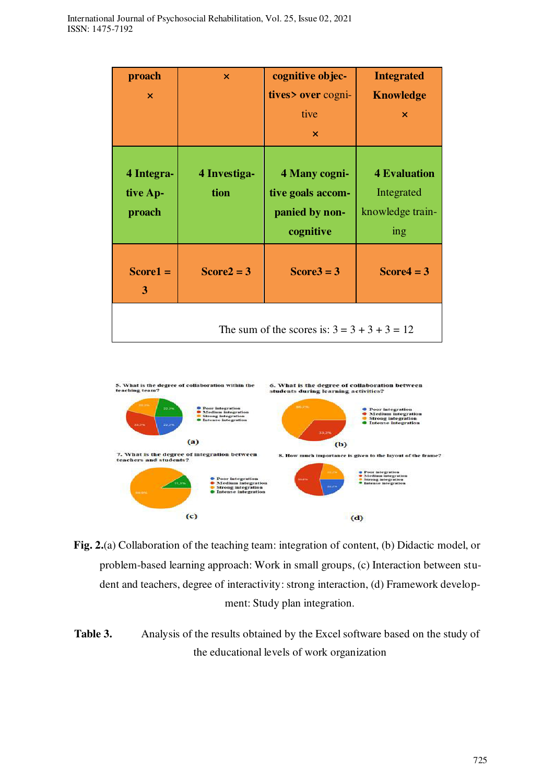| proach                                         | $\boldsymbol{\mathsf{x}}$ | cognitive objec-                                                  | <b>Integrated</b>                                                              |  |  |
|------------------------------------------------|---------------------------|-------------------------------------------------------------------|--------------------------------------------------------------------------------|--|--|
| $\boldsymbol{\mathsf{x}}$                      |                           | tives > over cogni-                                               | <b>Knowledge</b>                                                               |  |  |
|                                                |                           | tive                                                              | $\boldsymbol{\times}$                                                          |  |  |
|                                                |                           | $\boldsymbol{\mathsf{x}}$                                         |                                                                                |  |  |
| 4 Integra-<br>tive Ap-<br>proach               | 4 Investiga-<br>tion      | 4 Many cogni-<br>tive goals accom-<br>panied by non-<br>cognitive | <b>4 Evaluation</b><br>Integrated<br>knowledge train-<br>$\frac{1}{\text{mg}}$ |  |  |
| $Score1 =$<br>3                                | $Score2 = 3$              | $Score3 = 3$                                                      | $Score4 = 3$                                                                   |  |  |
| The sum of the scores is: $3 = 3 + 3 + 3 = 12$ |                           |                                                                   |                                                                                |  |  |



- **Fig. 2.**(a) Collaboration of the teaching team: integration of content, (b) Didactic model, or problem-based learning approach: Work in small groups, (c) Interaction between student and teachers, degree of interactivity: strong interaction, (d) Framework development: Study plan integration.
- **Table 3.** Analysis of the results obtained by the Excel software based on the study of the educational levels of work organization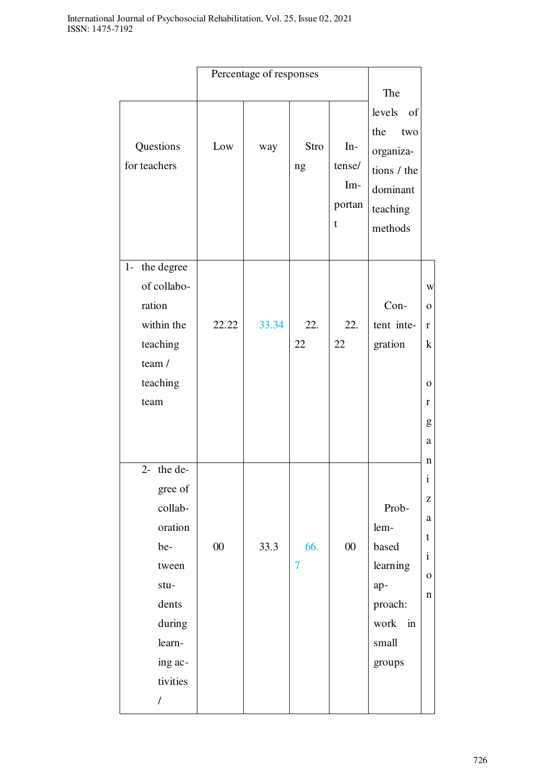|                                                                                                                                             |        | Percentage of responses |                       |                                       |                                                                                           |                                                                                     |
|---------------------------------------------------------------------------------------------------------------------------------------------|--------|-------------------------|-----------------------|---------------------------------------|-------------------------------------------------------------------------------------------|-------------------------------------------------------------------------------------|
|                                                                                                                                             |        |                         |                       |                                       | The                                                                                       |                                                                                     |
| Questions<br>for teachers                                                                                                                   | Low    | way                     | Stro<br>ng            | $In-$<br>tense/<br>Im-<br>portan<br>t | levels<br>of<br>the<br>two<br>organiza-<br>tions / the<br>dominant<br>teaching<br>methods |                                                                                     |
| the degree<br>$1 -$<br>of collabo-<br>ration<br>within the<br>teaching<br>team /<br>teaching<br>team                                        | 22.22  | 33.34                   | 22.<br>22             | 22.<br>22                             | Con-<br>tent inte-<br>gration                                                             | W<br>$\mathbf{O}$<br>$\mathbf{r}$<br>$\bf k$<br>$\mathbf 0$<br>r<br>g<br>a          |
| $2-$ the de-<br>gree of<br>collab-<br>oration<br>be-<br>tween<br>stu-<br>dents<br>during<br>learn-<br>ing ac-<br>tivities<br>$\overline{1}$ | $00\,$ | 33.3                    | 66.<br>$\overline{7}$ | $00\,$                                | Prob-<br>lem-<br>based<br>learning<br>ap-<br>proach:<br>work<br>in<br>small<br>groups     | n<br>Ť<br>$\mathbf{Z}$<br>$\rm{a}$<br>t<br>$\mathbf{i}$<br>${\bf O}$<br>$\mathbf n$ |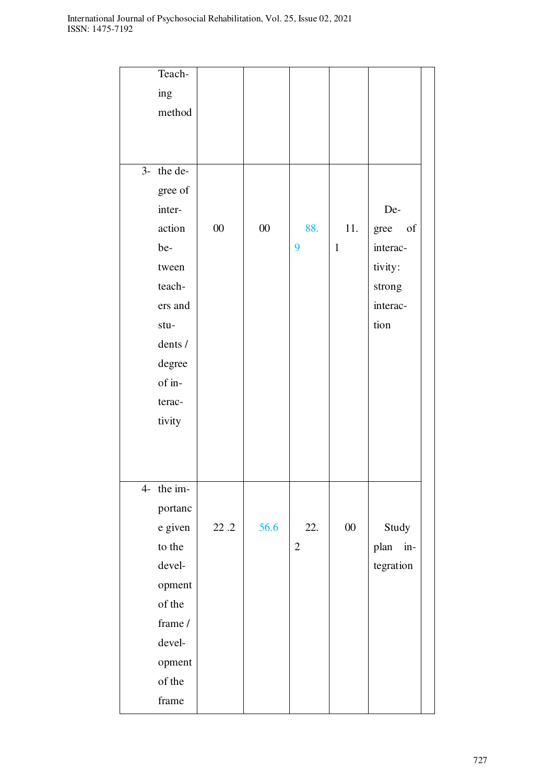|      | Teach-  |        |        |              |              |               |  |
|------|---------|--------|--------|--------------|--------------|---------------|--|
|      | ing     |        |        |              |              |               |  |
|      | method  |        |        |              |              |               |  |
|      |         |        |        |              |              |               |  |
|      |         |        |        |              |              |               |  |
| $3-$ | the de- |        |        |              |              |               |  |
|      | gree of |        |        |              |              |               |  |
|      | inter-  |        |        |              |              | De-           |  |
|      | action  | $00\,$ | $00\,$ | 88.          | 11.          | of<br>gree    |  |
|      | be-     |        |        | 9            | $\mathbf{1}$ | interac-      |  |
|      | tween   |        |        |              |              | tivity:       |  |
|      | teach-  |        |        |              |              | strong        |  |
|      | ers and |        |        |              |              | interac-      |  |
|      | stu-    |        |        |              |              | tion          |  |
|      | dents / |        |        |              |              |               |  |
|      | degree  |        |        |              |              |               |  |
|      | of in-  |        |        |              |              |               |  |
|      | terac-  |        |        |              |              |               |  |
|      | tivity  |        |        |              |              |               |  |
|      |         |        |        |              |              |               |  |
|      |         |        |        |              |              |               |  |
|      |         |        |        |              |              |               |  |
| $4-$ | the im- |        |        |              |              |               |  |
|      | portanc |        |        |              |              |               |  |
|      | e given | 22.2   | 56.6   | 22.          | $00\,$       | Study         |  |
|      | to the  |        |        | $\mathbf{2}$ |              | plan<br>$in-$ |  |
|      | devel-  |        |        |              |              | tegration     |  |
|      | opment  |        |        |              |              |               |  |
|      | of the  |        |        |              |              |               |  |
|      | frame / |        |        |              |              |               |  |
|      | devel-  |        |        |              |              |               |  |
|      | opment  |        |        |              |              |               |  |
|      | of the  |        |        |              |              |               |  |
|      | frame   |        |        |              |              |               |  |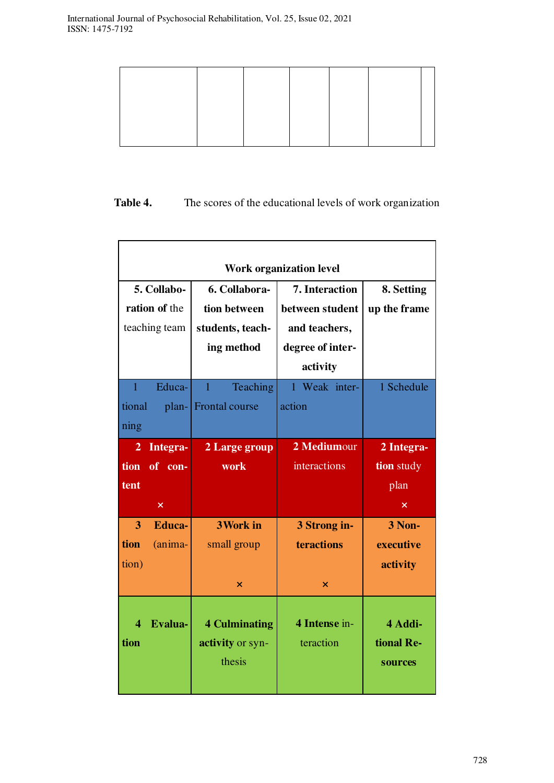# Table 4. The scores of the educational levels of work organization

|                                               | <b>Work organization level</b>                 |                                                    |                                                    |                                        |  |  |  |  |
|-----------------------------------------------|------------------------------------------------|----------------------------------------------------|----------------------------------------------------|----------------------------------------|--|--|--|--|
| 5. Collabo-<br>ration of the<br>teaching team |                                                | 6. Collabora-<br>tion between<br>students, teach-  | 7. Interaction<br>between student<br>and teachers, | 8. Setting<br>up the frame             |  |  |  |  |
|                                               |                                                | ing method                                         | degree of inter-<br>activity                       |                                        |  |  |  |  |
| $\mathbf{1}$<br>tional<br>ning                | Educa-<br>plan-                                | Teaching<br>$\mathbf{1}$<br><b>Frontal course</b>  | 1 Weak inter-<br>action                            | 1 Schedule                             |  |  |  |  |
| $\overline{2}$<br>tion<br>tent                | Integra-<br>of con-<br>$\overline{\mathsf{x}}$ | 2 Large group<br>work                              | 2 Mediumour<br>interactions                        | 2 Integra-<br>tion study<br>plan<br>×  |  |  |  |  |
| 3<br>tion<br>tion)                            | <b>Educa-</b><br>(anima-                       | <b>3Work in</b><br>small group<br>×                | 3 Strong in-<br>teractions<br>×                    | <b>3 Non-</b><br>executive<br>activity |  |  |  |  |
| $\boldsymbol{\varDelta}$<br>tion              | Evalua-                                        | <b>4 Culminating</b><br>activity or syn-<br>thesis | 4 Intense in-<br>teraction                         | 4 Addi-<br>tional Re-<br>sources       |  |  |  |  |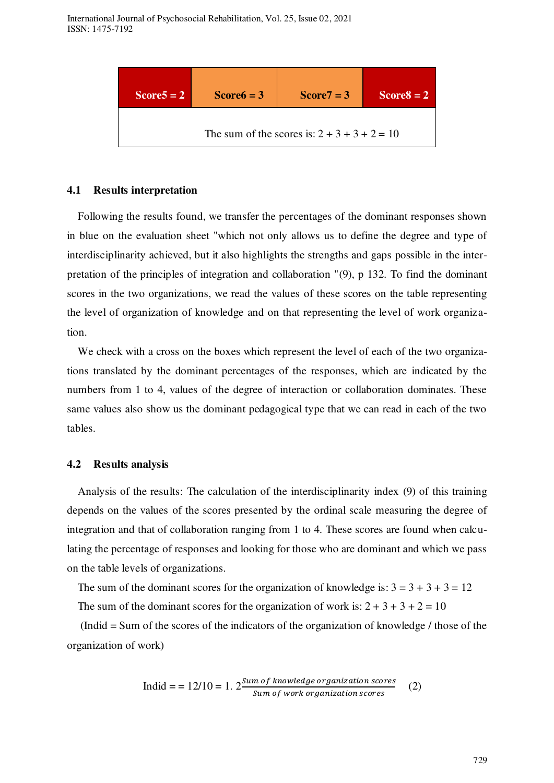

### **4.1 Results interpretation**

Following the results found, we transfer the percentages of the dominant responses shown in blue on the evaluation sheet "which not only allows us to define the degree and type of interdisciplinarity achieved, but it also highlights the strengths and gaps possible in the interpretation of the principles of integration and collaboration "(9), p 132. To find the dominant scores in the two organizations, we read the values of these scores on the table representing the level of organization of knowledge and on that representing the level of work organization.

We check with a cross on the boxes which represent the level of each of the two organizations translated by the dominant percentages of the responses, which are indicated by the numbers from 1 to 4, values of the degree of interaction or collaboration dominates. These same values also show us the dominant pedagogical type that we can read in each of the two tables.

### **4.2 Results analysis**

Analysis of the results: The calculation of the interdisciplinarity index (9) of this training depends on the values of the scores presented by the ordinal scale measuring the degree of integration and that of collaboration ranging from 1 to 4. These scores are found when calculating the percentage of responses and looking for those who are dominant and which we pass on the table levels of organizations.

The sum of the dominant scores for the organization of knowledge is:  $3 = 3 + 3 + 3 = 12$ 

The sum of the dominant scores for the organization of work is:  $2 + 3 + 3 + 2 = 10$ 

 (Indid = Sum of the scores of the indicators of the organization of knowledge / those of the organization of work)

$$
Indid = 12/10 = 1.2 \frac{Sum of knowledge organization scores}{Sum of work organisation scores}
$$
 (2)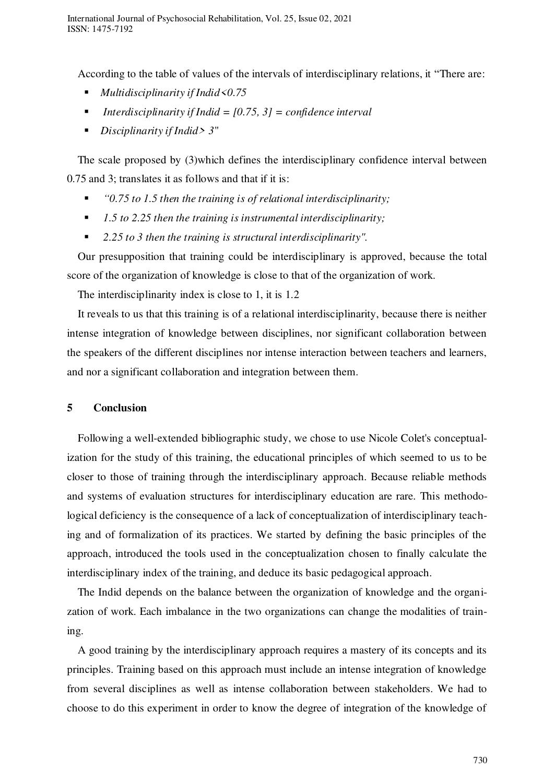According to the table of values of the intervals of interdisciplinary relations, it "There are:

- *Multidisciplinarity if Indid<0.75*
- *Interdisciplinarity if Indid = [0.75, 3] = confidence interval*
- *Disciplinarity if Indid> 3*"

The scale proposed by (3)which defines the interdisciplinary confidence interval between 0.75 and 3; translates it as follows and that if it is:

- *"0.75 to 1.5 then the training is of relational interdisciplinarity;*
- 1.5 to 2.25 then the training is instrumental interdisciplinarity;
- 2.25 to 3 then the training is structural interdisciplinarity".

Our presupposition that training could be interdisciplinary is approved, because the total score of the organization of knowledge is close to that of the organization of work.

The interdisciplinarity index is close to 1, it is 1.2

It reveals to us that this training is of a relational interdisciplinarity, because there is neither intense integration of knowledge between disciplines, nor significant collaboration between the speakers of the different disciplines nor intense interaction between teachers and learners, and nor a significant collaboration and integration between them.

### **5 Conclusion**

Following a well-extended bibliographic study, we chose to use Nicole Colet's conceptualization for the study of this training, the educational principles of which seemed to us to be closer to those of training through the interdisciplinary approach. Because reliable methods and systems of evaluation structures for interdisciplinary education are rare. This methodological deficiency is the consequence of a lack of conceptualization of interdisciplinary teaching and of formalization of its practices. We started by defining the basic principles of the approach, introduced the tools used in the conceptualization chosen to finally calculate the interdisciplinary index of the training, and deduce its basic pedagogical approach.

The Indid depends on the balance between the organization of knowledge and the organization of work. Each imbalance in the two organizations can change the modalities of training.

A good training by the interdisciplinary approach requires a mastery of its concepts and its principles. Training based on this approach must include an intense integration of knowledge from several disciplines as well as intense collaboration between stakeholders. We had to choose to do this experiment in order to know the degree of integration of the knowledge of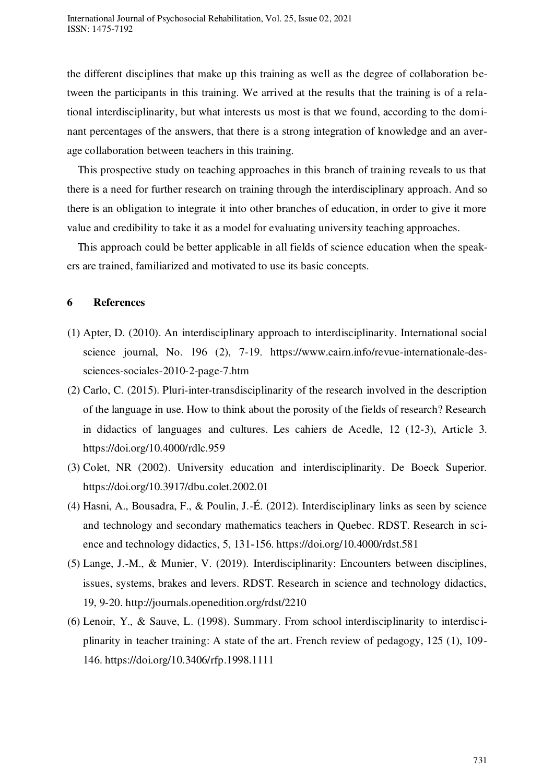the different disciplines that make up this training as well as the degree of collaboration between the participants in this training. We arrived at the results that the training is of a relational interdisciplinarity, but what interests us most is that we found, according to the dominant percentages of the answers, that there is a strong integration of knowledge and an average collaboration between teachers in this training.

This prospective study on teaching approaches in this branch of training reveals to us that there is a need for further research on training through the interdisciplinary approach. And so there is an obligation to integrate it into other branches of education, in order to give it more value and credibility to take it as a model for evaluating university teaching approaches.

This approach could be better applicable in all fields of science education when the speakers are trained, familiarized and motivated to use its basic concepts.

# **6 References**

- (1) Apter, D. (2010). An interdisciplinary approach to interdisciplinarity. International social science journal, No. 196 (2), 7-19. https://www.cairn.info/revue-internationale-dessciences-sociales-2010-2-page-7.htm
- (2) Carlo, C. (2015). Pluri-inter-transdisciplinarity of the research involved in the description of the language in use. How to think about the porosity of the fields of research? Research in didactics of languages and cultures. Les cahiers de Acedle, 12 (12-3), Article 3. https://doi.org/10.4000/rdlc.959
- (3) Colet, NR (2002). University education and interdisciplinarity. De Boeck Superior. https://doi.org/10.3917/dbu.colet.2002.01
- (4) Hasni, A., Bousadra, F., & Poulin, J.-É. (2012). Interdisciplinary links as seen by science and technology and secondary mathematics teachers in Quebec. RDST. Research in science and technology didactics, 5, 131‑156. https://doi.org/10.4000/rdst.581
- (5) Lange, J.-M., & Munier, V. (2019). Interdisciplinarity: Encounters between disciplines, issues, systems, brakes and levers. RDST. Research in science and technology didactics, 19, 9-20. http://journals.openedition.org/rdst/2210
- (6) Lenoir, Y., & Sauve, L. (1998). Summary. From school interdisciplinarity to interdisciplinarity in teacher training: A state of the art. French review of pedagogy, 125 (1), 109- 146. https://doi.org/10.3406/rfp.1998.1111